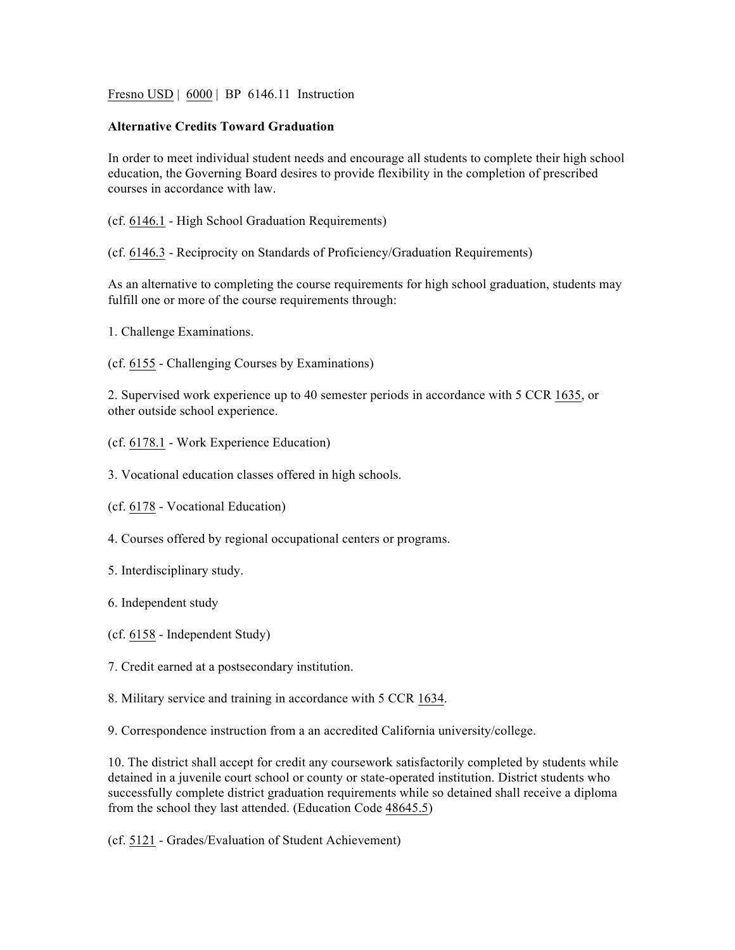Fresno USD | 6000 | BP 6146.11 Instruction

## **Alternative Credits Toward Graduation**

In order to meet individual student needs and encourage all students to complete their high school education, the Governing Board desires to provide flexibility in the completion of prescribed courses in accordance with law.

- (cf. 6146.1 High School Graduation Requirements)
- (cf. 6146.3 Reciprocity on Standards of Proficiency/Graduation Requirements)

As an alternative to completing the course requirements for high school graduation, students may fulfill one or more of the course requirements through:

1. Challenge Examinations.

(cf. 6155 - Challenging Courses by Examinations)

2. Supervised work experience up to 40 semester periods in accordance with 5 CCR 1635, or other outside school experience.

- (cf. 6178.1 Work Experience Education)
- 3. Vocational education classes offered in high schools.
- (cf. 6178 Vocational Education)
- 4. Courses offered by regional occupational centers or programs.
- 5. Interdisciplinary study.
- 6. Independent study
- (cf. 6158 Independent Study)
- 7. Credit earned at a postsecondary institution.
- 8. Military service and training in accordance with 5 CCR 1634.

9. Correspondence instruction from a an accredited California university/college.

10. The district shall accept for credit any coursework satisfactorily completed by students while detained in a juvenile court school or county or state-operated institution. District students who successfully complete district graduation requirements while so detained shall receive a diploma from the school they last attended. (Education Code 48645.5)

(cf. 5121 - Grades/Evaluation of Student Achievement)